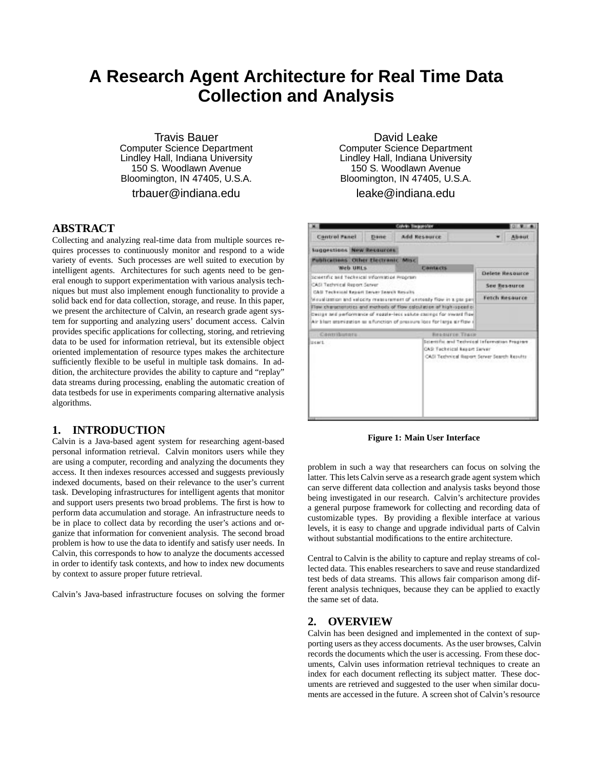# **A Research Agent Architecture for Real Time Data Collection and Analysis**

Travis Bauer Computer Science Department Lindley Hall, Indiana University 150 S. Woodlawn Avenue Bloomington, IN 47405, U.S.A.

trbauer@indiana.edu

#### **ABSTRACT**

Collecting and analyzing real-time data from multiple sources requires processes to continuously monitor and respond to a wide variety of events. Such processes are well suited to execution by intelligent agents. Architectures for such agents need to be general enough to support experimentation with various analysis techniques but must also implement enough functionality to provide a solid back end for data collection, storage, and reuse. In this paper, we present the architecture of Calvin, an research grade agent system for supporting and analyzing users' document access. Calvin provides specific applications for collecting, storing, and retrieving data to be used for information retrieval, but its extensible object oriented implementation of resource types makes the architecture sufficiently flexible to be useful in multiple task domains. In addition, the architecture provides the ability to capture and "replay" data streams during processing, enabling the automatic creation of data testbeds for use in experiments comparing alternative analysis algorithms.

#### **1. INTRODUCTION**

Calvin is a Java-based agent system for researching agent-based personal information retrieval. Calvin monitors users while they are using a computer, recording and analyzing the documents they access. It then indexes resources accessed and suggests previously indexed documents, based on their relevance to the user's current task. Developing infrastructures for intelligent agents that monitor and support users presents two broad problems. The first is how to perform data accumulation and storage. An infrastructure needs to be in place to collect data by recording the user's actions and organize that information for convenient analysis. The second broad problem is how to use the data to identify and satisfy user needs. In Calvin, this corresponds to how to analyze the documents accessed in order to identify task contexts, and how to index new documents by context to assure proper future retrieval.

Calvin's Java-based infrastructure focuses on solving the former

David Leake Computer Science Department Lindley Hall, Indiana University 150 S. Woodlawn Avenue Bloomington, IN 47405, U.S.A.

leake@indiana.edu



**Figure 1: Main User Interface**

problem in such a way that researchers can focus on solving the latter. This lets Calvin serve as a research grade agent system which can serve different data collection and analysis tasks beyond those being investigated in our research. Calvin's architecture provides a general purpose framework for collecting and recording data of customizable types. By providing a flexible interface at various levels, it is easy to change and upgrade individual parts of Calvin without substantial modifications to the entire architecture.

Central to Calvin is the ability to capture and replay streams of collected data. This enables researchers to save and reuse standardized test beds of data streams. This allows fair comparison among different analysis techniques, because they can be applied to exactly the same set of data.

#### **2. OVERVIEW**

Calvin has been designed and implemented in the context of supporting users as they access documents. As the user browses, Calvin records the documents which the user is accessing. From these documents, Calvin uses information retrieval techniques to create an index for each document reflecting its subject matter. These documents are retrieved and suggested to the user when similar documents are accessed in the future. A screen shot of Calvin's resource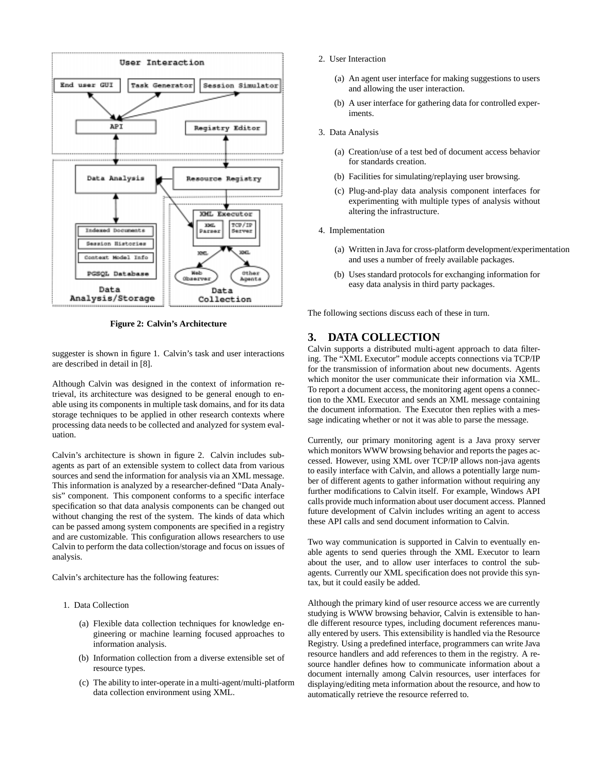

**Figure 2: Calvin's Architecture**

suggester is shown in figure 1. Calvin's task and user interactions are described in detail in [8].

Although Calvin was designed in the context of information retrieval, its architecture was designed to be general enough to enable using its components in multiple task domains, and for its data storage techniques to be applied in other research contexts where processing data needs to be collected and analyzed for system evaluation.

Calvin's architecture is shown in figure 2. Calvin includes subagents as part of an extensible system to collect data from various sources and send the information for analysis via an XML message. This information is analyzed by a researcher-defined "Data Analysis" component. This component conforms to a specific interface specification so that data analysis components can be changed out without changing the rest of the system. The kinds of data which can be passed among system components are specified in a registry and are customizable. This configuration allows researchers to use Calvin to perform the data collection/storage and focus on issues of analysis.

Calvin's architecture has the following features:

- 1. Data Collection
	- (a) Flexible data collection techniques for knowledge engineering or machine learning focused approaches to information analysis.
	- (b) Information collection from a diverse extensible set of resource types.
	- (c) The ability to inter-operate in a multi-agent/multi-platform data collection environment using XML.
- 2. User Interaction
	- (a) An agent user interface for making suggestions to users and allowing the user interaction.
	- (b) A user interface for gathering data for controlled experiments.
- 3. Data Analysis
	- (a) Creation/use of a test bed of document access behavior for standards creation.
	- (b) Facilities for simulating/replaying user browsing.
	- (c) Plug-and-play data analysis component interfaces for experimenting with multiple types of analysis without altering the infrastructure.
- 4. Implementation
	- (a) Written in Java for cross-platform development/experimentation and uses a number of freely available packages.
	- (b) Uses standard protocols for exchanging information for easy data analysis in third party packages.

The following sections discuss each of these in turn.

## **3. DATA COLLECTION**

Calvin supports a distributed multi-agent approach to data filtering. The "XML Executor" module accepts connections via TCP/IP for the transmission of information about new documents. Agents which monitor the user communicate their information via XML. To report a document access, the monitoring agent opens a connection to the XML Executor and sends an XML message containing the document information. The Executor then replies with a message indicating whether or not it was able to parse the message.

Currently, our primary monitoring agent is a Java proxy server which monitors WWW browsing behavior and reports the pages accessed. However, using XML over TCP/IP allows non-java agents to easily interface with Calvin, and allows a potentially large number of different agents to gather information without requiring any further modifications to Calvin itself. For example, Windows API calls provide much information about user document access. Planned future development of Calvin includes writing an agent to access these API calls and send document information to Calvin.

Two way communication is supported in Calvin to eventually enable agents to send queries through the XML Executor to learn about the user, and to allow user interfaces to control the subagents. Currently our XML specification does not provide this syntax, but it could easily be added.

Although the primary kind of user resource access we are currently studying is WWW browsing behavior, Calvin is extensible to handle different resource types, including document references manually entered by users. This extensibility is handled via the Resource Registry. Using a predefined interface, programmers can write Java resource handlers and add references to them in the registry. A resource handler defines how to communicate information about a document internally among Calvin resources, user interfaces for displaying/editing meta information about the resource, and how to automatically retrieve the resource referred to.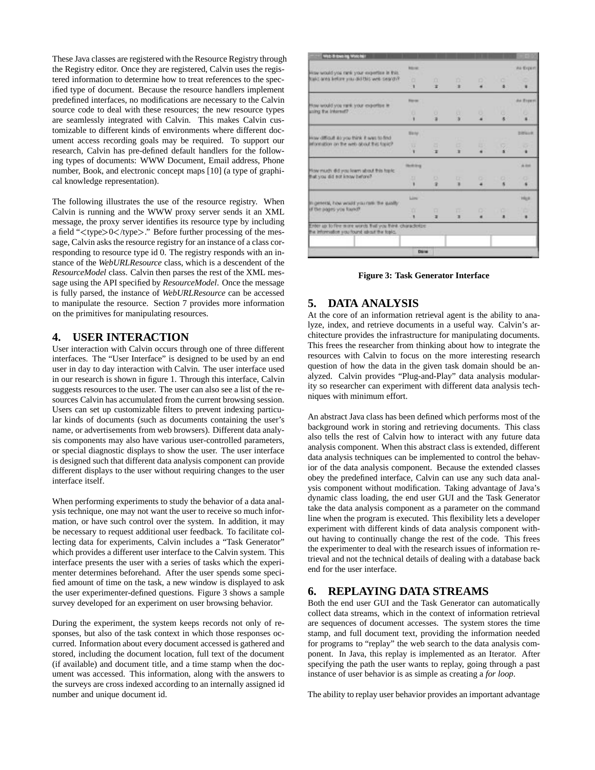These Java classes are registered with the Resource Registry through the Registry editor. Once they are registered, Calvin uses the registered information to determine how to treat references to the specified type of document. Because the resource handlers implement predefined interfaces, no modifications are necessary to the Calvin source code to deal with these resources; the new resource types are seamlessly integrated with Calvin. This makes Calvin customizable to different kinds of environments where different document access recording goals may be required. To support our research, Calvin has pre-defined default handlers for the following types of documents: WWW Document, Email address, Phone number, Book, and electronic concept maps [10] (a type of graphical knowledge representation).

The following illustrates the use of the resource registry. When Calvin is running and the WWW proxy server sends it an XML message, the proxy server identifies its resource type by including a field "<type>0</type>." Before further processing of the message, Calvin asks the resource registry for an instance of a class corresponding to resource type id 0. The registry responds with an instance of the *WebURLResource* class, which is a descendent of the *ResourceModel* class. Calvin then parses the rest of the XML message using the API specified by *ResourceModel*. Once the message is fully parsed, the instance of *WebURLResource* can be accessed to manipulate the resource. Section 7 provides more information on the primitives for manipulating resources.

### **4. USER INTERACTION**

User interaction with Calvin occurs through one of three different interfaces. The "User Interface" is designed to be used by an end user in day to day interaction with Calvin. The user interface used in our research is shown in figure 1. Through this interface, Calvin suggests resources to the user. The user can also see a list of the resources Calvin has accumulated from the current browsing session. Users can set up customizable filters to prevent indexing particular kinds of documents (such as documents containing the user's name, or advertisements from web browsers). Different data analysis components may also have various user-controlled parameters, or special diagnostic displays to show the user. The user interface is designed such that different data analysis component can provide different displays to the user without requiring changes to the user interface itself.

When performing experiments to study the behavior of a data analysis technique, one may not want the user to receive so much information, or have such control over the system. In addition, it may be necessary to request additional user feedback. To facilitate collecting data for experiments, Calvin includes a "Task Generator" which provides a different user interface to the Calvin system. This interface presents the user with a series of tasks which the experimenter determines beforehand. After the user spends some specified amount of time on the task, a new window is displayed to ask the user experimenter-defined questions. Figure 3 shows a sample survey developed for an experiment on user browsing behavior.

During the experiment, the system keeps records not only of responses, but also of the task context in which those responses occurred. Information about every document accessed is gathered and stored, including the document location, full text of the document (if available) and document title, and a time stamp when the document was accessed. This information, along with the answers to the surveys are cross indexed according to an internally assigned id number and unique document id.

| with it towning Worcher                                                                                |                  |   |         |         |                  |                  |
|--------------------------------------------------------------------------------------------------------|------------------|---|---------|---------|------------------|------------------|
|                                                                                                        | <b>RIGHT</b>     |   |         |         |                  | As Export.       |
| How would you rank your expertise in this.<br>Friday also abititing the unit with a team place         | a                | n |         |         |                  |                  |
|                                                                                                        | $\mathbf{1}$     | × | D.<br>٠ | D.<br>٠ | o<br>٠           | ٠                |
| How would you rank your expertise in                                                                   | <b>Figure</b>    |   |         |         |                  | As Breech        |
| saing the internet?                                                                                    | x.               | u | a       | υ       | α,               |                  |
|                                                                                                        | ٠                | ж | x       |         | ×.               |                  |
| How difficult as you think it was to find                                                              | <b>Big Full</b>  |   |         |         |                  | <b>Difficult</b> |
| Information on the web struct this tapach                                                              | w                | а | и       | в       | ç.               | ÷                |
|                                                                                                        | ٠                | × | ×       | ٠       | ×                | ٠                |
|                                                                                                        | <b>Herbiding</b> |   |         |         |                  | A 840            |
| How much did you knew about this topic.<br>that you did not know before?                               | $\Box$           | o | œ       |         |                  |                  |
|                                                                                                        |                  | × | ж       | o.      | <b>CELL</b><br>× | a                |
| In general, how would you mell: the quality                                                            | Lime             |   |         |         |                  | Hun              |
| of the pages you found?                                                                                | 'n               | α | ш.      | o.      | c                |                  |
|                                                                                                        | ٠                | × | л       |         | $\blacksquare$   | ٠                |
| Enter as to five wore words that you think characterize.<br>the information you found about the topic. |                  |   |         |         |                  |                  |
|                                                                                                        |                  |   |         |         |                  |                  |
|                                                                                                        | <b>District</b>  |   |         |         |                  |                  |

**Figure 3: Task Generator Interface**

# **5. DATA ANALYSIS**

At the core of an information retrieval agent is the ability to analyze, index, and retrieve documents in a useful way. Calvin's architecture provides the infrastructure for manipulating documents. This frees the researcher from thinking about how to integrate the resources with Calvin to focus on the more interesting research question of how the data in the given task domain should be analyzed. Calvin provides "Plug-and-Play" data analysis modularity so researcher can experiment with different data analysis techniques with minimum effort.

An abstract Java class has been defined which performs most of the background work in storing and retrieving documents. This class also tells the rest of Calvin how to interact with any future data analysis component. When this abstract class is extended, different data analysis techniques can be implemented to control the behavior of the data analysis component. Because the extended classes obey the predefined interface, Calvin can use any such data analysis component without modification. Taking advantage of Java's dynamic class loading, the end user GUI and the Task Generator take the data analysis component as a parameter on the command line when the program is executed. This flexibility lets a developer experiment with different kinds of data analysis component without having to continually change the rest of the code. This frees the experimenter to deal with the research issues of information retrieval and not the technical details of dealing with a database back end for the user interface.

# **6. REPLAYING DATA STREAMS**

Both the end user GUI and the Task Generator can automatically collect data streams, which in the context of information retrieval are sequences of document accesses. The system stores the time stamp, and full document text, providing the information needed for programs to "replay" the web search to the data analysis component. In Java, this replay is implemented as an Iterator. After specifying the path the user wants to replay, going through a past instance of user behavior is as simple as creating a *for loop*.

The ability to replay user behavior provides an important advantage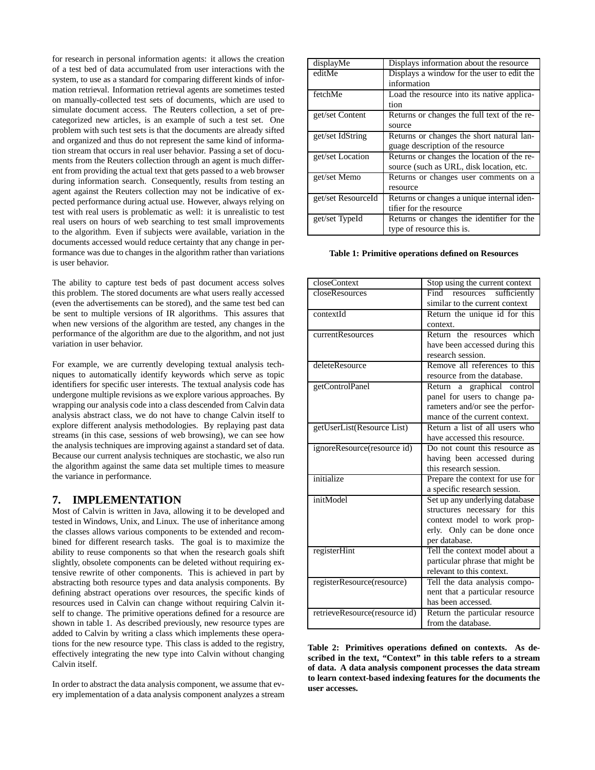for research in personal information agents: it allows the creation of a test bed of data accumulated from user interactions with the system, to use as a standard for comparing different kinds of information retrieval. Information retrieval agents are sometimes tested on manually-collected test sets of documents, which are used to simulate document access. The Reuters collection, a set of precategorized new articles, is an example of such a test set. One problem with such test sets is that the documents are already sifted and organized and thus do not represent the same kind of information stream that occurs in real user behavior. Passing a set of documents from the Reuters collection through an agent is much different from providing the actual text that gets passed to a web browser during information search. Consequently, results from testing an agent against the Reuters collection may not be indicative of expected performance during actual use. However, always relying on test with real users is problematic as well: it is unrealistic to test real users on hours of web searching to test small improvements to the algorithm. Even if subjects were available, variation in the documents accessed would reduce certainty that any change in performance was due to changes in the algorithm rather than variations is user behavior.

The ability to capture test beds of past document access solves this problem. The stored documents are what users really accessed (even the advertisements can be stored), and the same test bed can be sent to multiple versions of IR algorithms. This assures that when new versions of the algorithm are tested, any changes in the performance of the algorithm are due to the algorithm, and not just variation in user behavior.

For example, we are currently developing textual analysis techniques to automatically identify keywords which serve as topic identifiers for specific user interests. The textual analysis code has undergone multiple revisions as we explore various approaches. By wrapping our analysis code into a class descended from Calvin data analysis abstract class, we do not have to change Calvin itself to explore different analysis methodologies. By replaying past data streams (in this case, sessions of web browsing), we can see how the analysis techniques are improving against a standard set of data. Because our current analysis techniques are stochastic, we also run the algorithm against the same data set multiple times to measure the variance in performance.

#### **7. IMPLEMENTATION**

Most of Calvin is written in Java, allowing it to be developed and tested in Windows, Unix, and Linux. The use of inheritance among the classes allows various components to be extended and recombined for different research tasks. The goal is to maximize the ability to reuse components so that when the research goals shift slightly, obsolete components can be deleted without requiring extensive rewrite of other components. This is achieved in part by abstracting both resource types and data analysis components. By defining abstract operations over resources, the specific kinds of resources used in Calvin can change without requiring Calvin itself to change. The primitive operations defined for a resource are shown in table 1. As described previously, new resource types are added to Calvin by writing a class which implements these operations for the new resource type. This class is added to the registry, effectively integrating the new type into Calvin without changing Calvin itself.

In order to abstract the data analysis component, we assume that every implementation of a data analysis component analyzes a stream

| displayMe          | Displays information about the resource     |
|--------------------|---------------------------------------------|
| editMe             | Displays a window for the user to edit the  |
|                    | information                                 |
| fetchMe            | Load the resource into its native applica-  |
|                    | tion                                        |
| get/set Content    | Returns or changes the full text of the re- |
|                    | source                                      |
| get/set IdString   | Returns or changes the short natural lan-   |
|                    | guage description of the resource           |
| get/set Location   | Returns or changes the location of the re-  |
|                    | source (such as URL, disk location, etc.    |
| get/set Memo       | Returns or changes user comments on a       |
|                    | resource                                    |
| get/set ResourceId | Returns or changes a unique internal iden-  |
|                    | tifier for the resource                     |
| get/set TypeId     | Returns or changes the identifier for the   |
|                    | type of resource this is.                   |

#### **Table 1: Primitive operations defined on Resources**

| closeContext                  | Stop using the current context    |
|-------------------------------|-----------------------------------|
| closeResources                | Find<br>resources<br>sufficiently |
|                               | similar to the current context    |
| contextId                     | Return the unique id for this     |
|                               | context.                          |
| currentResources              | Return the resources which        |
|                               | have been accessed during this    |
|                               | research session.                 |
| deleteResource                | Remove all references to this     |
|                               | resource from the database.       |
| getControlPanel               | Return a graphical control        |
|                               | panel for users to change pa-     |
|                               | rameters and/or see the perfor-   |
|                               | mance of the current context.     |
| getUserList(Resource List)    | Return a list of all users who    |
|                               | have accessed this resource.      |
| ignoreResource(resource id)   | Do not count this resource as     |
|                               | having been accessed during       |
|                               | this research session.            |
| initialize                    | Prepare the context for use for   |
|                               | a specific research session.      |
| initModel                     | Set up any underlying database    |
|                               | structures necessary for this     |
|                               | context model to work prop-       |
|                               | erly. Only can be done once       |
|                               | per database.                     |
| registerHint                  | Tell the context model about a    |
|                               | particular phrase that might be   |
|                               | relevant to this context.         |
| registerResource(resource)    | Tell the data analysis compo-     |
|                               | nent that a particular resource   |
|                               | has been accessed.                |
| retrieveResource(resource id) | Return the particular resource    |
|                               | from the database.                |

**Table 2: Primitives operations defined on contexts. As described in the text, "Context" in this table refers to a stream of data. A data analysis component processes the data stream to learn context-based indexing features for the documents the user accesses.**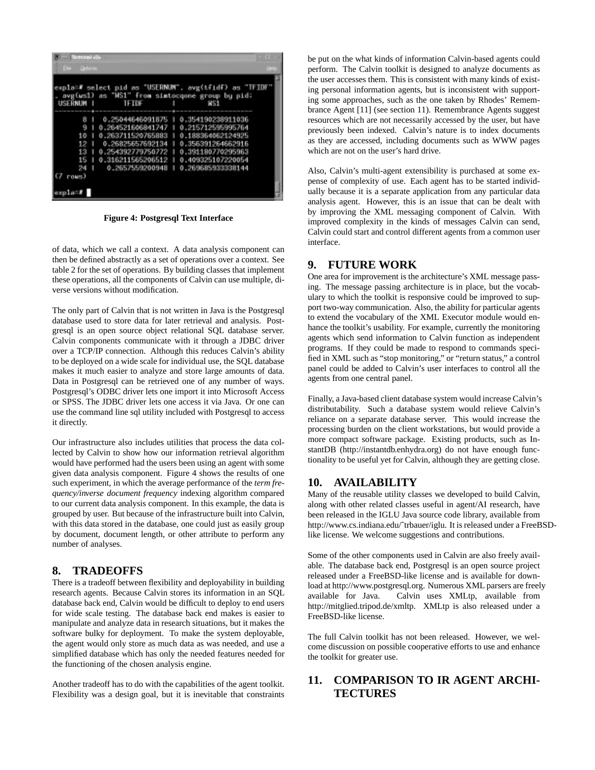| - Terminal dia                                    |                                                                                                                                                                                        |                                                                                                                         |  |
|---------------------------------------------------|----------------------------------------------------------------------------------------------------------------------------------------------------------------------------------------|-------------------------------------------------------------------------------------------------------------------------|--|
| <b>CALC Carloss</b>                               |                                                                                                                                                                                        |                                                                                                                         |  |
| USERNUM 1                                         | <b>TEIDE</b>                                                                                                                                                                           | expla=# select pid as "USERNUM", avg(tfidf) as "TFIDF"<br>avg(ws1) as "WS1" from simtocqone group by pid;<br><b>NS1</b> |  |
| 10<br>12<br>13<br>15<br>24<br>rows)<br>$2010 - 1$ | $0.25044646091875 + 0.354190238911036$<br>0.264521606841747   0.215712595995764<br>0.263711520765883<br>0.26825657692134<br>0.254392779750772<br>0.316211565206512   0.409325107220054 | 0.188364062124925<br>0.356391264662916<br>0.391180770295963<br>0.2657559200948   0.269685933338144                      |  |

**Figure 4: Postgresql Text Interface**

of data, which we call a context. A data analysis component can then be defined abstractly as a set of operations over a context. See table 2 for the set of operations. By building classes that implement these operations, all the components of Calvin can use multiple, diverse versions without modification.

The only part of Calvin that is not written in Java is the Postgresql database used to store data for later retrieval and analysis. Postgresql is an open source object relational SQL database server. Calvin components communicate with it through a JDBC driver over a TCP/IP connection. Although this reduces Calvin's ability to be deployed on a wide scale for individual use, the SQL database makes it much easier to analyze and store large amounts of data. Data in Postgresql can be retrieved one of any number of ways. Postgresql's ODBC driver lets one import it into Microsoft Access or SPSS. The JDBC driver lets one access it via Java. Or one can use the command line sql utility included with Postgresql to access it directly.

Our infrastructure also includes utilities that process the data collected by Calvin to show how our information retrieval algorithm would have performed had the users been using an agent with some given data analysis component. Figure 4 shows the results of one such experiment, in which the average performance of the *term frequency/inverse document frequency* indexing algorithm compared to our current data analysis component. In this example, the data is grouped by user. But because of the infrastructure built into Calvin, with this data stored in the database, one could just as easily group by document, document length, or other attribute to perform any number of analyses.

#### **8. TRADEOFFS**

There is a tradeoff between flexibility and deployability in building research agents. Because Calvin stores its information in an SQL database back end, Calvin would be difficult to deploy to end users for wide scale testing. The database back end makes is easier to manipulate and analyze data in research situations, but it makes the software bulky for deployment. To make the system deployable, the agent would only store as much data as was needed, and use a simplified database which has only the needed features needed for the functioning of the chosen analysis engine.

Another tradeoff has to do with the capabilities of the agent toolkit. Flexibility was a design goal, but it is inevitable that constraints be put on the what kinds of information Calvin-based agents could perform. The Calvin toolkit is designed to analyze documents as the user accesses them. This is consistent with many kinds of existing personal information agents, but is inconsistent with supporting some approaches, such as the one taken by Rhodes' Remembrance Agent [11] (see section 11). Remembrance Agents suggest resources which are not necessarily accessed by the user, but have previously been indexed. Calvin's nature is to index documents as they are accessed, including documents such as WWW pages which are not on the user's hard drive.

Also, Calvin's multi-agent extensibility is purchased at some expense of complexity of use. Each agent has to be started individually because it is a separate application from any particular data analysis agent. However, this is an issue that can be dealt with by improving the XML messaging component of Calvin. With improved complexity in the kinds of messages Calvin can send, Calvin could start and control different agents from a common user interface.

#### **9. FUTURE WORK**

One area for improvement is the architecture's XML message passing. The message passing architecture is in place, but the vocabulary to which the toolkit is responsive could be improved to support two-way communication. Also, the ability for particular agents to extend the vocabulary of the XML Executor module would enhance the toolkit's usability. For example, currently the monitoring agents which send information to Calvin function as independent programs. If they could be made to respond to commands specified in XML such as "stop monitoring," or "return status," a control panel could be added to Calvin's user interfaces to control all the agents from one central panel.

Finally, a Java-based client database system would increase Calvin's distributability. Such a database system would relieve Calvin's reliance on a separate database server. This would increase the processing burden on the client workstations, but would provide a more compact software package. Existing products, such as InstantDB (http://instantdb.enhydra.org) do not have enough functionality to be useful yet for Calvin, although they are getting close.

#### **10. AVAILABILITY**

Many of the reusable utility classes we developed to build Calvin, along with other related classes useful in agent/AI research, have been released in the IGLU Java source code library, available from http://www.cs.indiana.edu/˜trbauer/iglu. It is released under a FreeBSDlike license. We welcome suggestions and contributions.

Some of the other components used in Calvin are also freely available. The database back end, Postgresql is an open source project released under a FreeBSD-like license and is available for download at http://www.postgresql.org. Numerous XML parsers are freely available for Java. Calvin uses XMLtp, available from http://mitglied.tripod.de/xmltp. XMLtp is also released under a FreeBSD-like license.

The full Calvin toolkit has not been released. However, we welcome discussion on possible cooperative efforts to use and enhance the toolkit for greater use.

# **11. COMPARISON TO IR AGENT ARCHI-TECTURES**